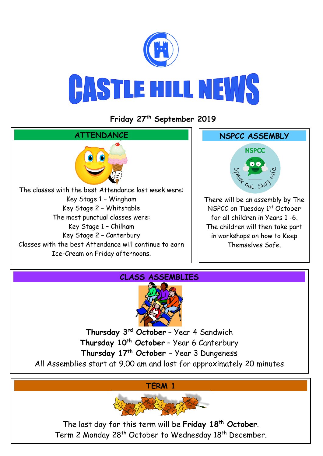

## **Friday 27 th September 2019**





**Thursday 3rd October** – Year 4 Sandwich **Thursday 10th October** – Year 6 Canterbury **Thursday 17th October** – Year 3 Dungeness

All Assemblies start at 9.00 am and last for approximately 20 minutes

**TERM 1**



The last day for this term will be **Friday 18th October**. Term 2 Monday 28<sup>th</sup> October to Wednesday 18<sup>th</sup> December.